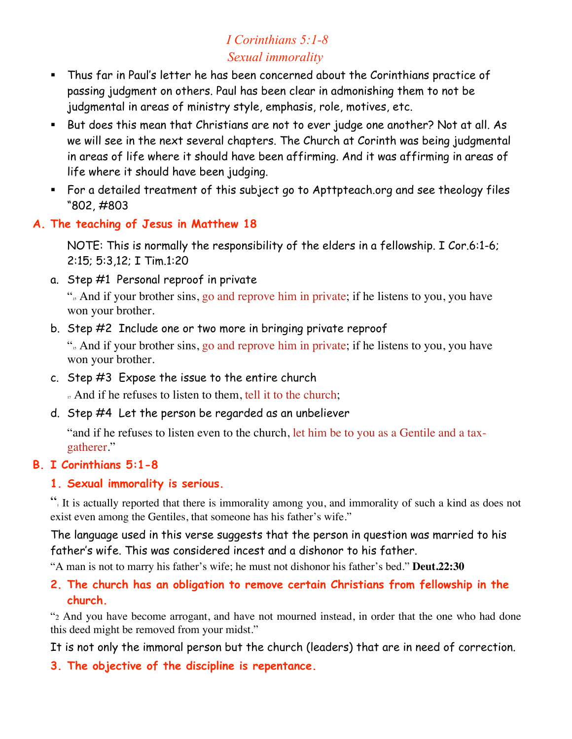# *I Corinthians 5:1-8 Sexual immorality*

- Thus far in Paul's letter he has been concerned about the Corinthians practice of passing judgment on others. Paul has been clear in admonishing them to not be judgmental in areas of ministry style, emphasis, role, motives, etc.
- But does this mean that Christians are not to ever judge one another? Not at all. As we will see in the next several chapters. The Church at Corinth was being judgmental in areas of life where it should have been affirming. And it was affirming in areas of life where it should have been judging.
- For a detailed treatment of this subject go to Apttpteach.org and see theology files "802, #803
- **A. The teaching of Jesus in Matthew 18**

NOTE: This is normally the responsibility of the elders in a fellowship. I Cor.6:1-6; 2:15; 5:3,12; I Tim.1:20

a. Step #1 Personal reproof in private

". And if your brother sins, go and reprove him in private; if he listens to you, you have won your brother.

b. Step #2 Include one or two more in bringing private reproof

". And if your brother sins, go and reprove him in private; if he listens to you, you have won your brother.

c. Step #3 Expose the issue to the entire church

... And if he refuses to listen to them, tell it to the church;

d. Step #4 Let the person be regarded as an unbeliever

"and if he refuses to listen even to the church, let him be to you as a Gentile and a taxgatherer."

# **B. I Corinthians 5:1-8**

# **1. Sexual immorality is serious.**

"1 It is actually reported that there is immorality among you, and immorality of such a kind as does not exist even among the Gentiles, that someone has his father's wife."

The language used in this verse suggests that the person in question was married to his father's wife. This was considered incest and a dishonor to his father.

"A man is not to marry his father's wife; he must not dishonor his father's bed." **Deut.22:30**

# **2. The church has an obligation to remove certain Christians from fellowship in the church.**

"2 And you have become arrogant, and have not mourned instead, in order that the one who had done this deed might be removed from your midst."

It is not only the immoral person but the church (leaders) that are in need of correction.

**3. The objective of the discipline is repentance.**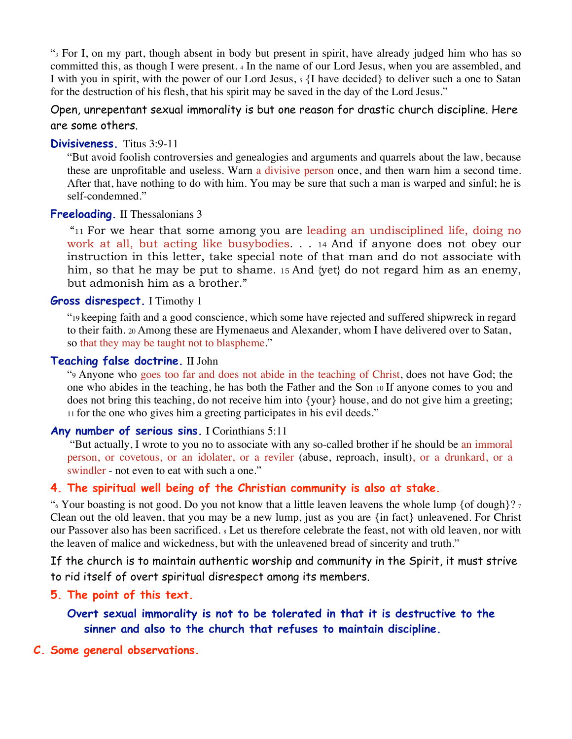"3 For I, on my part, though absent in body but present in spirit, have already judged him who has so committed this, as though I were present. 4 In the name of our Lord Jesus, when you are assembled, and I with you in spirit, with the power of our Lord Jesus,  $5 \{$ I have decided to deliver such a one to Satan for the destruction of his flesh, that his spirit may be saved in the day of the Lord Jesus."

Open, unrepentant sexual immorality is but one reason for drastic church discipline. Here are some others.

#### **Divisiveness.** Titus 3:9-11

"But avoid foolish controversies and genealogies and arguments and quarrels about the law, because these are unprofitable and useless. Warn a divisive person once, and then warn him a second time. After that, have nothing to do with him. You may be sure that such a man is warped and sinful; he is self-condemned."

### **Freeloading.** II Thessalonians 3

"11 For we hear that some among you are leading an undisciplined life, doing no work at all, but acting like busybodies. . . 14 And if anyone does not obey our instruction in this letter, take special note of that man and do not associate with him, so that he may be put to shame. 15 And {yet} do not regard him as an enemy, but admonish him as a brother."

#### **Gross disrespect.** I Timothy 1

"19 keeping faith and a good conscience, which some have rejected and suffered shipwreck in regard to their faith. 20 Among these are Hymenaeus and Alexander, whom I have delivered over to Satan, so that they may be taught not to blaspheme."

### **Teaching false doctrine.** II John

"9 Anyone who goes too far and does not abide in the teaching of Christ, does not have God; the one who abides in the teaching, he has both the Father and the Son 10 If anyone comes to you and does not bring this teaching, do not receive him into {your} house, and do not give him a greeting; 11 for the one who gives him a greeting participates in his evil deeds."

# Any number of serious sins. I Corinthians 5:11

 "But actually, I wrote to you no to associate with any so-called brother if he should be an immoral person, or covetous, or an idolater, or a reviler (abuse, reproach, insult), or a drunkard, or a swindler - not even to eat with such a one."

# **4. The spiritual well being of the Christian community is also at stake.**

". Your boasting is not good. Do you not know that a little leaven leavens the whole lump {of dough}?  $\frac{1}{2}$ Clean out the old leaven, that you may be a new lump, just as you are {in fact} unleavened. For Christ our Passover also has been sacrificed. 8 Let us therefore celebrate the feast, not with old leaven, nor with the leaven of malice and wickedness, but with the unleavened bread of sincerity and truth."

If the church is to maintain authentic worship and community in the Spirit, it must strive to rid itself of overt spiritual disrespect among its members.

### **5. The point of this text.**

**Overt sexual immorality is not to be tolerated in that it is destructive to the sinner and also to the church that refuses to maintain discipline.**

#### **C. Some general observations.**